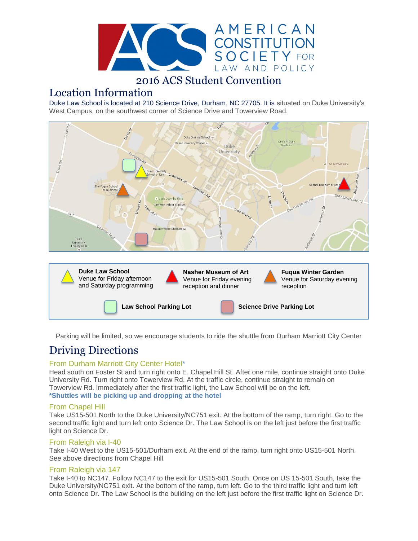

## 2016 ACS Student Convention

### Location Information

Duke Law School is located at 210 Science Drive, Durham, NC 27705. It is situated on Duke University's West Campus, on the southwest corner of Science Drive and Towerview Road.



Parking will be limited, so we encourage students to ride the shuttle from Durham Marriott City Center

# Driving Directions

#### From Durham Marriott City Center Hotel\*

Head south on Foster St and turn right onto E. Chapel Hill St. After one mile, continue straight onto Duke University Rd. Turn right onto Towerview Rd. At the traffic circle, continue straight to remain on Towerview Rd. Immediately after the first traffic light, the Law School will be on the left. **\*Shuttles will be picking up and dropping at the hotel** 

#### From Chapel Hill

Take US15-501 North to the Duke University/NC751 exit. At the bottom of the ramp, turn right. Go to the second traffic light and turn left onto Science Dr. The Law School is on the left just before the first traffic light on Science Dr.

#### From Raleigh via I-40

Take I-40 West to the US15-501/Durham exit. At the end of the ramp, turn right onto US15-501 North. See above directions from Chapel Hill.

#### From Raleigh via 147

Take I-40 to NC147. Follow NC147 to the exit for US15-501 South. Once on US 15-501 South, take the Duke University/NC751 exit. At the bottom of the ramp, turn left. Go to the third traffic light and turn left onto Science Dr. The Law School is the building on the left just before the first traffic light on Science Dr.